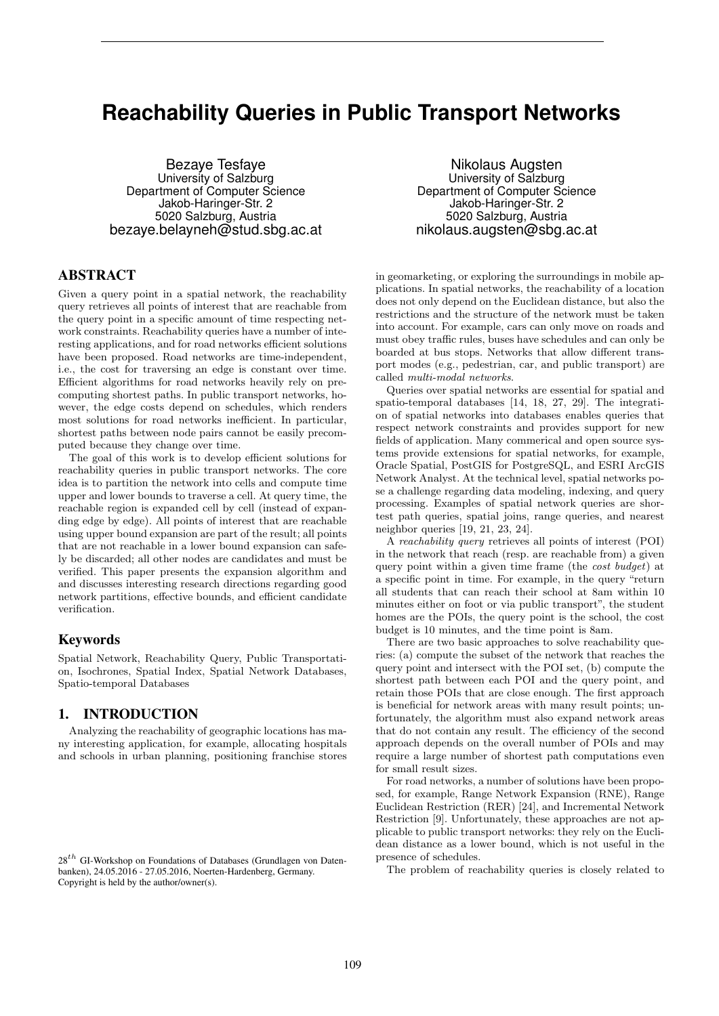# **Reachability Queries in Public Transport Networks**

Bezaye Tesfaye University of Salzburg Department of Computer Science Jakob-Haringer-Str. 2 5020 Salzburg, Austria bezaye.belayneh@stud.sbg.ac.at

# ABSTRACT

Given a query point in a spatial network, the reachability query retrieves all points of interest that are reachable from the query point in a specific amount of time respecting network constraints. Reachability queries have a number of interesting applications, and for road networks efficient solutions have been proposed. Road networks are time-independent, i.e., the cost for traversing an edge is constant over time. Efficient algorithms for road networks heavily rely on precomputing shortest paths. In public transport networks, however, the edge costs depend on schedules, which renders most solutions for road networks inefficient. In particular, shortest paths between node pairs cannot be easily precomputed because they change over time.

The goal of this work is to develop efficient solutions for reachability queries in public transport networks. The core idea is to partition the network into cells and compute time upper and lower bounds to traverse a cell. At query time, the reachable region is expanded cell by cell (instead of expanding edge by edge). All points of interest that are reachable using upper bound expansion are part of the result; all points that are not reachable in a lower bound expansion can safely be discarded; all other nodes are candidates and must be verified. This paper presents the expansion algorithm and and discusses interesting research directions regarding good network partitions, effective bounds, and efficient candidate verification.

# Keywords

Spatial Network, Reachability Query, Public Transportation, Isochrones, Spatial Index, Spatial Network Databases, Spatio-temporal Databases

# 1. INTRODUCTION

Analyzing the reachability of geographic locations has many interesting application, for example, allocating hospitals and schools in urban planning, positioning franchise stores

Nikolaus Augsten University of Salzburg Department of Computer Science Jakob-Haringer-Str. 2 5020 Salzburg, Austria nikolaus.augsten@sbg.ac.at

in geomarketing, or exploring the surroundings in mobile applications. In spatial networks, the reachability of a location does not only depend on the Euclidean distance, but also the restrictions and the structure of the network must be taken into account. For example, cars can only move on roads and must obey traffic rules, buses have schedules and can only be boarded at bus stops. Networks that allow different transport modes (e.g., pedestrian, car, and public transport) are called multi-modal networks.

Queries over spatial networks are essential for spatial and spatio-temporal databases [14, 18, 27, 29]. The integration of spatial networks into databases enables queries that respect network constraints and provides support for new fields of application. Many commerical and open source systems provide extensions for spatial networks, for example, Oracle Spatial, PostGIS for PostgreSQL, and ESRI ArcGIS Network Analyst. At the technical level, spatial networks pose a challenge regarding data modeling, indexing, and query processing. Examples of spatial network queries are shortest path queries, spatial joins, range queries, and nearest neighbor queries [19, 21, 23, 24].

A reachability query retrieves all points of interest (POI) in the network that reach (resp. are reachable from) a given query point within a given time frame (the cost budget) at a specific point in time. For example, in the query "return all students that can reach their school at 8am within 10 minutes either on foot or via public transport", the student homes are the POIs, the query point is the school, the cost budget is 10 minutes, and the time point is 8am.

There are two basic approaches to solve reachability queries: (a) compute the subset of the network that reaches the query point and intersect with the POI set, (b) compute the shortest path between each POI and the query point, and retain those POIs that are close enough. The first approach is beneficial for network areas with many result points; unfortunately, the algorithm must also expand network areas that do not contain any result. The efficiency of the second approach depends on the overall number of POIs and may require a large number of shortest path computations even for small result sizes.

For road networks, a number of solutions have been proposed, for example, Range Network Expansion (RNE), Range Euclidean Restriction (RER) [24], and Incremental Network Restriction [9]. Unfortunately, these approaches are not applicable to public transport networks: they rely on the Euclidean distance as a lower bound, which is not useful in the presence of schedules.

The problem of reachability queries is closely related to

 $28<sup>th</sup>$  GI-Workshop on Foundations of Databases (Grundlagen von Datenbanken), 24.05.2016 - 27.05.2016, Noerten-Hardenberg, Germany. Copyright is held by the author/owner(s).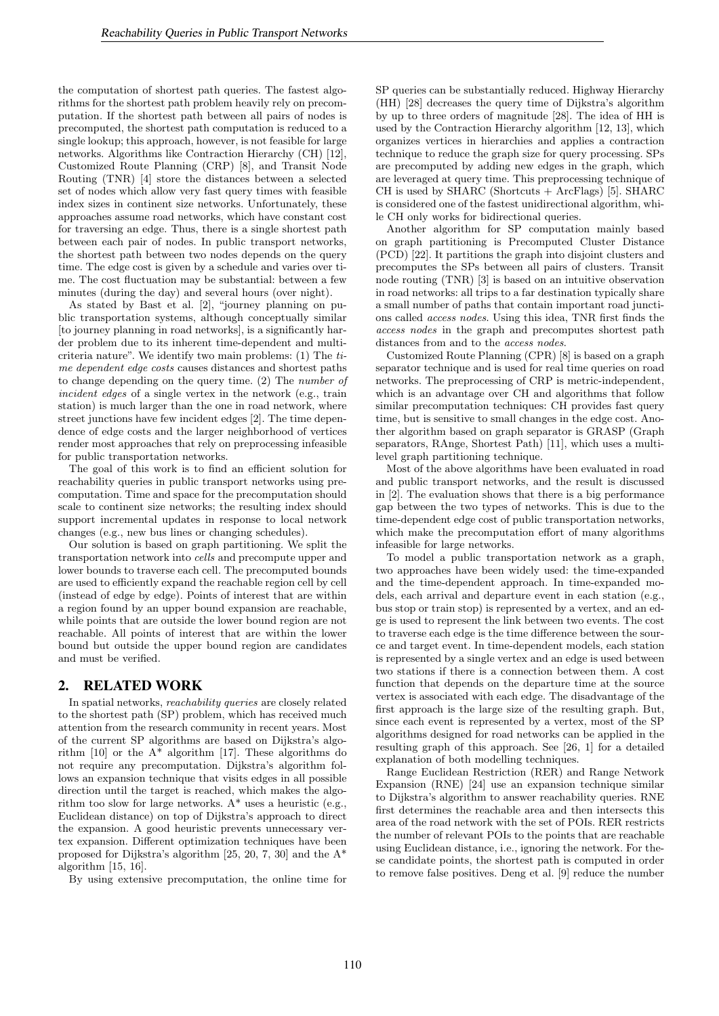the computation of shortest path queries. The fastest algorithms for the shortest path problem heavily rely on precomputation. If the shortest path between all pairs of nodes is precomputed, the shortest path computation is reduced to a single lookup; this approach, however, is not feasible for large networks. Algorithms like Contraction Hierarchy (CH) [12], Customized Route Planning (CRP) [8], and Transit Node Routing (TNR) [4] store the distances between a selected set of nodes which allow very fast query times with feasible index sizes in continent size networks. Unfortunately, these approaches assume road networks, which have constant cost for traversing an edge. Thus, there is a single shortest path between each pair of nodes. In public transport networks, the shortest path between two nodes depends on the query time. The edge cost is given by a schedule and varies over time. The cost fluctuation may be substantial: between a few minutes (during the day) and several hours (over night).

As stated by Bast et al. [2], "journey planning on public transportation systems, although conceptually similar [to journey planning in road networks], is a significantly harder problem due to its inherent time-dependent and multicriteria nature". We identify two main problems: (1) The time dependent edge costs causes distances and shortest paths to change depending on the query time. (2) The number of incident edges of a single vertex in the network (e.g., train station) is much larger than the one in road network, where street junctions have few incident edges [2]. The time dependence of edge costs and the larger neighborhood of vertices render most approaches that rely on preprocessing infeasible for public transportation networks.

The goal of this work is to find an efficient solution for reachability queries in public transport networks using precomputation. Time and space for the precomputation should scale to continent size networks; the resulting index should support incremental updates in response to local network changes (e.g., new bus lines or changing schedules).

Our solution is based on graph partitioning. We split the transportation network into cells and precompute upper and lower bounds to traverse each cell. The precomputed bounds are used to efficiently expand the reachable region cell by cell (instead of edge by edge). Points of interest that are within a region found by an upper bound expansion are reachable, while points that are outside the lower bound region are not reachable. All points of interest that are within the lower bound but outside the upper bound region are candidates and must be verified.

## 2. RELATED WORK

In spatial networks, reachability queries are closely related to the shortest path (SP) problem, which has received much attention from the research community in recent years. Most of the current SP algorithms are based on Dijkstra's algorithm [10] or the A\* algorithm [17]. These algorithms do not require any precomputation. Dijkstra's algorithm follows an expansion technique that visits edges in all possible direction until the target is reached, which makes the algorithm too slow for large networks. A\* uses a heuristic (e.g., Euclidean distance) on top of Dijkstra's approach to direct the expansion. A good heuristic prevents unnecessary vertex expansion. Different optimization techniques have been proposed for Dijkstra's algorithm [25, 20, 7, 30] and the A\* algorithm [15, 16].

By using extensive precomputation, the online time for

SP queries can be substantially reduced. Highway Hierarchy (HH) [28] decreases the query time of Dijkstra's algorithm by up to three orders of magnitude [28]. The idea of HH is used by the Contraction Hierarchy algorithm [12, 13], which organizes vertices in hierarchies and applies a contraction technique to reduce the graph size for query processing. SPs are precomputed by adding new edges in the graph, which are leveraged at query time. This preprocessing technique of CH is used by SHARC (Shortcuts + ArcFlags) [5]. SHARC is considered one of the fastest unidirectional algorithm, while CH only works for bidirectional queries.

Another algorithm for SP computation mainly based on graph partitioning is Precomputed Cluster Distance (PCD) [22]. It partitions the graph into disjoint clusters and precomputes the SPs between all pairs of clusters. Transit node routing (TNR) [3] is based on an intuitive observation in road networks: all trips to a far destination typically share a small number of paths that contain important road junctions called access nodes. Using this idea, TNR first finds the access nodes in the graph and precomputes shortest path distances from and to the access nodes.

Customized Route Planning (CPR) [8] is based on a graph separator technique and is used for real time queries on road networks. The preprocessing of CRP is metric-independent, which is an advantage over CH and algorithms that follow similar precomputation techniques: CH provides fast query time, but is sensitive to small changes in the edge cost. Another algorithm based on graph separator is GRASP (Graph separators, RAnge, Shortest Path) [11], which uses a multilevel graph partitioning technique.

Most of the above algorithms have been evaluated in road and public transport networks, and the result is discussed in [2]. The evaluation shows that there is a big performance gap between the two types of networks. This is due to the time-dependent edge cost of public transportation networks, which make the precomputation effort of many algorithms infeasible for large networks.

To model a public transportation network as a graph, two approaches have been widely used: the time-expanded and the time-dependent approach. In time-expanded models, each arrival and departure event in each station (e.g., bus stop or train stop) is represented by a vertex, and an edge is used to represent the link between two events. The cost to traverse each edge is the time difference between the source and target event. In time-dependent models, each station is represented by a single vertex and an edge is used between two stations if there is a connection between them. A cost function that depends on the departure time at the source vertex is associated with each edge. The disadvantage of the first approach is the large size of the resulting graph. But, since each event is represented by a vertex, most of the SP algorithms designed for road networks can be applied in the resulting graph of this approach. See [26, 1] for a detailed explanation of both modelling techniques.

Range Euclidean Restriction (RER) and Range Network Expansion (RNE) [24] use an expansion technique similar to Dijkstra's algorithm to answer reachability queries. RNE first determines the reachable area and then intersects this area of the road network with the set of POIs. RER restricts the number of relevant POIs to the points that are reachable using Euclidean distance, i.e., ignoring the network. For these candidate points, the shortest path is computed in order to remove false positives. Deng et al. [9] reduce the number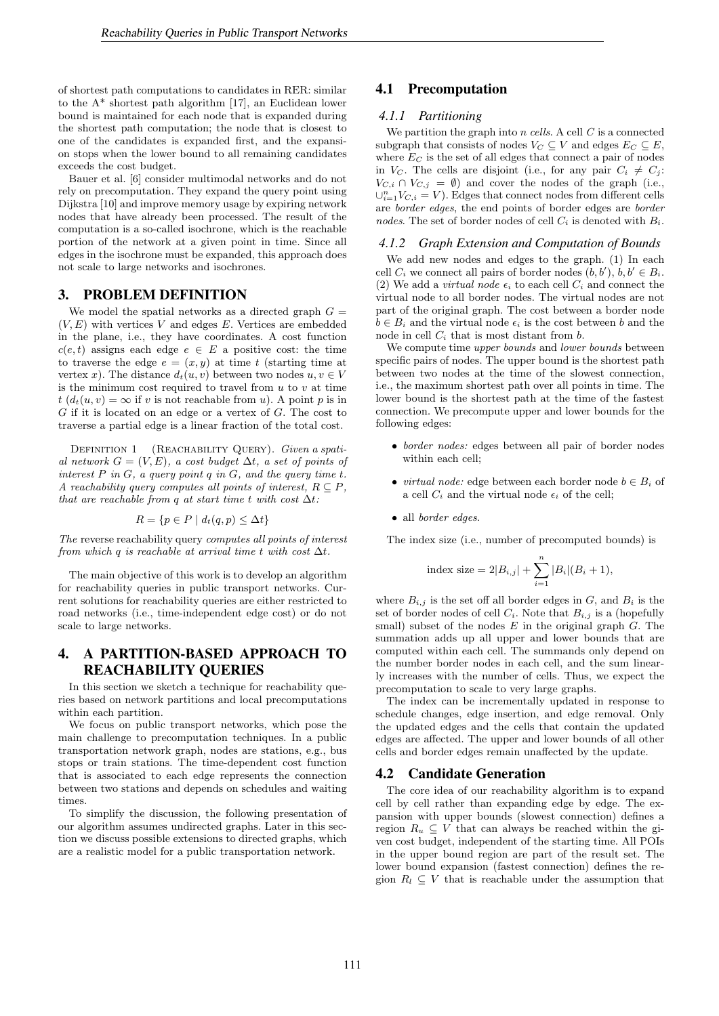of shortest path computations to candidates in RER: similar to the A\* shortest path algorithm [17], an Euclidean lower bound is maintained for each node that is expanded during the shortest path computation; the node that is closest to one of the candidates is expanded first, and the expansion stops when the lower bound to all remaining candidates exceeds the cost budget.

Bauer et al. [6] consider multimodal networks and do not rely on precomputation. They expand the query point using Dijkstra [10] and improve memory usage by expiring network nodes that have already been processed. The result of the computation is a so-called isochrone, which is the reachable portion of the network at a given point in time. Since all edges in the isochrone must be expanded, this approach does not scale to large networks and isochrones.

## 3. PROBLEM DEFINITION

We model the spatial networks as a directed graph  $G =$  $(V, E)$  with vertices V and edges E. Vertices are embedded in the plane, i.e., they have coordinates. A cost function  $c(e, t)$  assigns each edge  $e \in E$  a positive cost: the time to traverse the edge  $e = (x, y)$  at time t (starting time at vertex x). The distance  $d_t(u, v)$  between two nodes  $u, v \in V$ is the minimum cost required to travel from  $u$  to  $v$  at time  $t (d_t(u, v) = \infty$  if v is not reachable from u). A point p is in  $G$  if it is located on an edge or a vertex of  $G$ . The cost to traverse a partial edge is a linear fraction of the total cost.

DEFINITION 1 (REACHABILITY QUERY). Given a spatial network  $G = (V, E)$ , a cost budget  $\Delta t$ , a set of points of interest  $P$  in  $G$ , a query point  $q$  in  $G$ , and the query time  $t$ . A reachability query computes all points of interest,  $R \subseteq P$ , that are reachable from q at start time t with cost  $\Delta t$ :

$$
R = \{ p \in P \mid d_t(q, p) \le \Delta t \}
$$

The reverse reachability query computes all points of interest from which q is reachable at arrival time t with cost  $\Delta t$ .

The main objective of this work is to develop an algorithm for reachability queries in public transport networks. Current solutions for reachability queries are either restricted to road networks (i.e., time-independent edge cost) or do not scale to large networks.

# 4. A PARTITION-BASED APPROACH TO REACHABILITY QUERIES

In this section we sketch a technique for reachability queries based on network partitions and local precomputations within each partition.

We focus on public transport networks, which pose the main challenge to precomputation techniques. In a public transportation network graph, nodes are stations, e.g., bus stops or train stations. The time-dependent cost function that is associated to each edge represents the connection between two stations and depends on schedules and waiting times.

To simplify the discussion, the following presentation of our algorithm assumes undirected graphs. Later in this section we discuss possible extensions to directed graphs, which are a realistic model for a public transportation network.

## 4.1 Precomputation

## *4.1.1 Partitioning*

We partition the graph into  $n$  cells. A cell  $C$  is a connected subgraph that consists of nodes  $V_C \subseteq V$  and edges  $E_C \subseteq E$ , where  $E_C$  is the set of all edges that connect a pair of nodes in  $V_C$ . The cells are disjoint (i.e., for any pair  $C_i \neq C_j$ :  $V_{C,i} \cap V_{C,j} = \emptyset$  and cover the nodes of the graph (i.e.,  $\cup_{i=1}^{n} V_{C,i} = V$ ). Edges that connect nodes from different cells are border edges, the end points of border edges are border nodes. The set of border nodes of cell  $C_i$  is denoted with  $B_i$ .

## *4.1.2 Graph Extension and Computation of Bounds*

We add new nodes and edges to the graph. (1) In each cell  $C_i$  we connect all pairs of border nodes  $(b, b'), b, b' \in B_i$ . (2) We add a *virtual node*  $\epsilon_i$  to each cell  $C_i$  and connect the virtual node to all border nodes. The virtual nodes are not part of the original graph. The cost between a border node  $b \in B_i$  and the virtual node  $\epsilon_i$  is the cost between b and the node in cell  $C_i$  that is most distant from  $b$ .

We compute time *upper bounds* and *lower bounds* between specific pairs of nodes. The upper bound is the shortest path between two nodes at the time of the slowest connection, i.e., the maximum shortest path over all points in time. The lower bound is the shortest path at the time of the fastest connection. We precompute upper and lower bounds for the following edges:

- border nodes: edges between all pair of border nodes within each cell;
- *virtual node:* edge between each border node  $b \in B_i$  of a cell  $C_i$  and the virtual node  $\epsilon_i$  of the cell;
- all border edges.

The index size (i.e., number of precomputed bounds) is

index size = 
$$
2|B_{i,j}| + \sum_{i=1}^{n} |B_i|(B_i + 1)
$$
,

where  $B_{i,j}$  is the set off all border edges in G, and  $B_i$  is the set of border nodes of cell  $C_i$ . Note that  $B_{i,j}$  is a (hopefully small) subset of the nodes  $E$  in the original graph  $G$ . The summation adds up all upper and lower bounds that are computed within each cell. The summands only depend on the number border nodes in each cell, and the sum linearly increases with the number of cells. Thus, we expect the precomputation to scale to very large graphs.

The index can be incrementally updated in response to schedule changes, edge insertion, and edge removal. Only the updated edges and the cells that contain the updated edges are affected. The upper and lower bounds of all other cells and border edges remain unaffected by the update.

## 4.2 Candidate Generation

The core idea of our reachability algorithm is to expand cell by cell rather than expanding edge by edge. The expansion with upper bounds (slowest connection) defines a region  $R_u \subseteq V$  that can always be reached within the given cost budget, independent of the starting time. All POIs in the upper bound region are part of the result set. The lower bound expansion (fastest connection) defines the region  $R_l \subseteq V$  that is reachable under the assumption that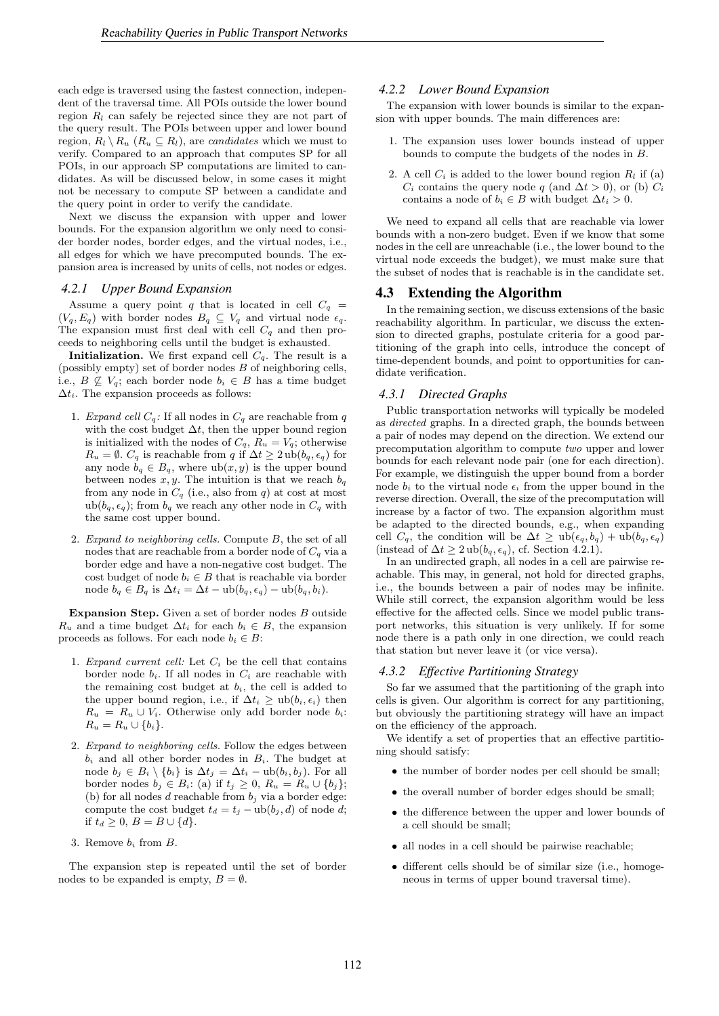each edge is traversed using the fastest connection, independent of the traversal time. All POIs outside the lower bound region  $R_l$  can safely be rejected since they are not part of the query result. The POIs between upper and lower bound region,  $R_l \setminus R_u$  ( $R_u \subseteq R_l$ ), are *candidates* which we must to verify. Compared to an approach that computes SP for all POIs, in our approach SP computations are limited to candidates. As will be discussed below, in some cases it might not be necessary to compute SP between a candidate and the query point in order to verify the candidate.

Next we discuss the expansion with upper and lower bounds. For the expansion algorithm we only need to consider border nodes, border edges, and the virtual nodes, i.e., all edges for which we have precomputed bounds. The expansion area is increased by units of cells, not nodes or edges.

#### *4.2.1 Upper Bound Expansion*

Assume a query point q that is located in cell  $C_q =$  $(V_q, E_q)$  with border nodes  $B_q \subseteq V_q$  and virtual node  $\epsilon_q$ . The expansion must first deal with cell  $C_q$  and then proceeds to neighboring cells until the budget is exhausted.

**Initialization.** We first expand cell  $C_q$ . The result is a (possibly empty) set of border nodes B of neighboring cells, i.e.,  $B \nsubseteq V_q$ ; each border node  $b_i \in B$  has a time budget  $\Delta t_i$ . The expansion proceeds as follows:

- 1. Expand cell  $C_q$ : If all nodes in  $C_q$  are reachable from q with the cost budget  $\Delta t$ , then the upper bound region is initialized with the nodes of  $C_q$ ,  $R_u = V_q$ ; otherwise  $R_u = \emptyset$ .  $C_q$  is reachable from q if  $\Delta t \geq 2 \, \text{ub}(b_q, \epsilon_q)$  for any node  $b_q \in B_q$ , where  $ub(x, y)$  is the upper bound between nodes  $x, y$ . The intuition is that we reach  $b_q$ from any node in  $C_q$  (i.e., also from q) at cost at most ub $(b_q, \epsilon_q)$ ; from  $b_q$  we reach any other node in  $C_q$  with the same cost upper bound.
- 2. Expand to neighboring cells. Compute B, the set of all nodes that are reachable from a border node of  $C_q$  via a border edge and have a non-negative cost budget. The cost budget of node  $b_i \in B$  that is reachable via border node  $b_q \in B_q$  is  $\Delta t_i = \Delta t - \mathrm{ub}(b_q, \epsilon_q) - \mathrm{ub}(b_q, b_i).$

Expansion Step. Given a set of border nodes  $B$  outside  $R_u$  and a time budget  $\Delta t_i$  for each  $b_i \in B$ , the expansion proceeds as follows. For each node  $b_i \in B$ :

- 1. Expand current cell: Let  $C_i$  be the cell that contains border node  $b_i$ . If all nodes in  $C_i$  are reachable with the remaining cost budget at  $b_i$ , the cell is added to the upper bound region, i.e., if  $\Delta t_i \geq \mathrm{ub}(b_i, \epsilon_i)$  then  $R_u = R_u \cup V_i$ . Otherwise only add border node  $b_i$ :  $R_u = R_u \cup \{b_i\}.$
- 2. Expand to neighboring cells. Follow the edges between  $b_i$  and all other border nodes in  $B_i$ . The budget at node  $b_j$  ∈  $B_i \setminus \{b_i\}$  is  $\Delta t_j = \Delta t_i - \mathrm{ub}(b_i, b_j)$ . For all border nodes  $b_j \in B_i$ : (a) if  $t_j \geq 0$ ,  $R_u = R_u \cup \{b_j\}$ ; (b) for all nodes  $d$  reachable from  $b_j$  via a border edge: compute the cost budget  $t_d = t_j - \text{ub}(b_j, d)$  of node d; if  $t_d \geq 0, B = B \cup \{d\}.$
- 3. Remove  $b_i$  from  $B$ .

The expansion step is repeated until the set of border nodes to be expanded is empty,  $B = \emptyset$ .

#### *4.2.2 Lower Bound Expansion*

The expansion with lower bounds is similar to the expansion with upper bounds. The main differences are:

- 1. The expansion uses lower bounds instead of upper bounds to compute the budgets of the nodes in B.
- 2. A cell  $C_i$  is added to the lower bound region  $R_l$  if (a)  $C_i$  contains the query node q (and  $\Delta t > 0$ ), or (b)  $C_i$ contains a node of  $b_i \in B$  with budget  $\Delta t_i > 0$ .

We need to expand all cells that are reachable via lower bounds with a non-zero budget. Even if we know that some nodes in the cell are unreachable (i.e., the lower bound to the virtual node exceeds the budget), we must make sure that the subset of nodes that is reachable is in the candidate set.

## 4.3 Extending the Algorithm

In the remaining section, we discuss extensions of the basic reachability algorithm. In particular, we discuss the extension to directed graphs, postulate criteria for a good partitioning of the graph into cells, introduce the concept of time-dependent bounds, and point to opportunities for candidate verification.

## *4.3.1 Directed Graphs*

Public transportation networks will typically be modeled as directed graphs. In a directed graph, the bounds between a pair of nodes may depend on the direction. We extend our precomputation algorithm to compute two upper and lower bounds for each relevant node pair (one for each direction). For example, we distinguish the upper bound from a border node  $b_i$  to the virtual node  $\epsilon_i$  from the upper bound in the reverse direction. Overall, the size of the precomputation will increase by a factor of two. The expansion algorithm must be adapted to the directed bounds, e.g., when expanding cell  $C_q$ , the condition will be  $\Delta t \geq \text{ub}(\epsilon_q, b_q) + \text{ub}(b_q, \epsilon_q)$ (instead of  $\Delta t \geq 2 \,\text{ub}(b_q, \epsilon_q)$ , cf. Section 4.2.1).

In an undirected graph, all nodes in a cell are pairwise reachable. This may, in general, not hold for directed graphs, i.e., the bounds between a pair of nodes may be infinite. While still correct, the expansion algorithm would be less effective for the affected cells. Since we model public transport networks, this situation is very unlikely. If for some node there is a path only in one direction, we could reach that station but never leave it (or vice versa).

## *4.3.2 Effective Partitioning Strategy*

So far we assumed that the partitioning of the graph into cells is given. Our algorithm is correct for any partitioning, but obviously the partitioning strategy will have an impact on the efficiency of the approach.

We identify a set of properties that an effective partitioning should satisfy:

- the number of border nodes per cell should be small;
- the overall number of border edges should be small;
- the difference between the upper and lower bounds of a cell should be small;
- all nodes in a cell should be pairwise reachable;
- different cells should be of similar size (i.e., homogeneous in terms of upper bound traversal time).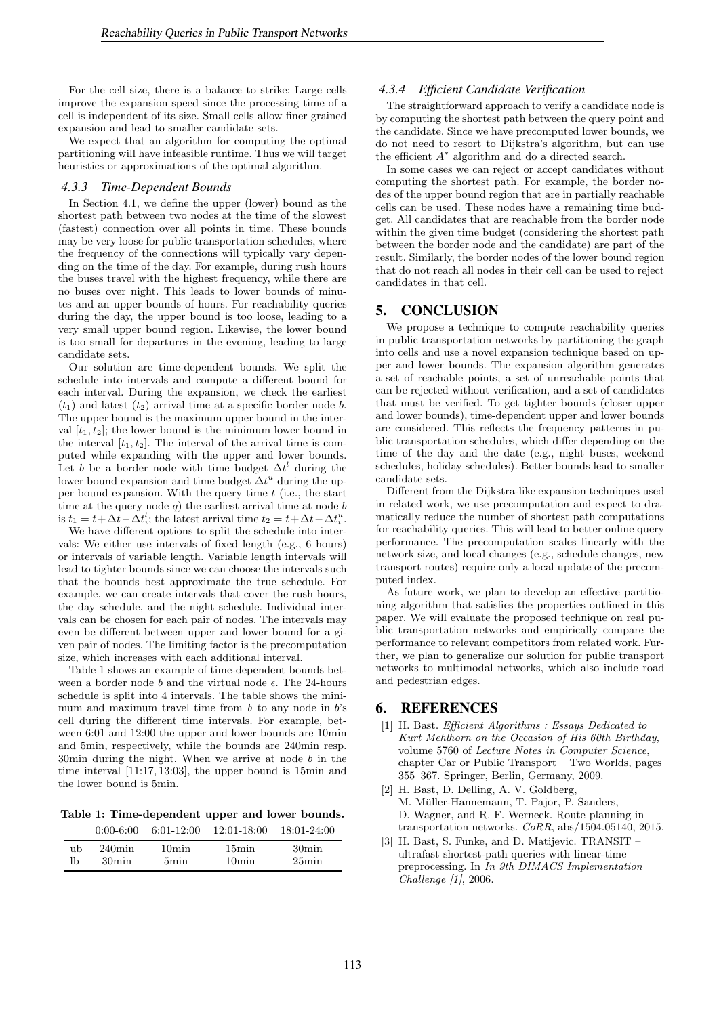For the cell size, there is a balance to strike: Large cells improve the expansion speed since the processing time of a cell is independent of its size. Small cells allow finer grained expansion and lead to smaller candidate sets.

We expect that an algorithm for computing the optimal partitioning will have infeasible runtime. Thus we will target heuristics or approximations of the optimal algorithm.

#### *4.3.3 Time-Dependent Bounds*

In Section 4.1, we define the upper (lower) bound as the shortest path between two nodes at the time of the slowest (fastest) connection over all points in time. These bounds may be very loose for public transportation schedules, where the frequency of the connections will typically vary depending on the time of the day. For example, during rush hours the buses travel with the highest frequency, while there are no buses over night. This leads to lower bounds of minutes and an upper bounds of hours. For reachability queries during the day, the upper bound is too loose, leading to a very small upper bound region. Likewise, the lower bound is too small for departures in the evening, leading to large candidate sets.

Our solution are time-dependent bounds. We split the schedule into intervals and compute a different bound for each interval. During the expansion, we check the earliest  $(t_1)$  and latest  $(t_2)$  arrival time at a specific border node b. The upper bound is the maximum upper bound in the interval  $[t_1, t_2]$ ; the lower bound is the minimum lower bound in the interval  $[t_1, t_2]$ . The interval of the arrival time is computed while expanding with the upper and lower bounds. Let b be a border node with time budget  $\Delta t^l$  during the lower bound expansion and time budget  $\Delta t^u$  during the upper bound expansion. With the query time  $t$  (i.e., the start time at the query node  $q$ ) the earliest arrival time at node  $b$ is  $t_1 = t + \Delta t - \Delta t_i^l$ ; the latest arrival time  $t_2 = t + \Delta t - \Delta t_i^u$ .

We have different options to split the schedule into intervals: We either use intervals of fixed length (e.g., 6 hours) or intervals of variable length. Variable length intervals will lead to tighter bounds since we can choose the intervals such that the bounds best approximate the true schedule. For example, we can create intervals that cover the rush hours, the day schedule, and the night schedule. Individual intervals can be chosen for each pair of nodes. The intervals may even be different between upper and lower bound for a given pair of nodes. The limiting factor is the precomputation size, which increases with each additional interval.

Table 1 shows an example of time-dependent bounds between a border node b and the virtual node  $\epsilon$ . The 24-hours schedule is split into 4 intervals. The table shows the minimum and maximum travel time from  $b$  to any node in  $b$ 's cell during the different time intervals. For example, between 6:01 and 12:00 the upper and lower bounds are 10min and 5min, respectively, while the bounds are 240min resp. 30 $\min$  during the night. When we arrive at node b in the time interval [11:17, 13:03], the upper bound is 15min and the lower bound is 5min.

Table 1: Time-dependent upper and lower bounds.

|    | $0:00-6:00$ | $6:01-12:00$ | $12:01 - 18:00$   | $18:01 - 24:00$ |
|----|-------------|--------------|-------------------|-----------------|
| ub | $240$ min   | 10min        | 15min             | 30min           |
| lb | 30min       | 5min         | 10 <sub>min</sub> | 25min           |

## *4.3.4 Efficient Candidate Verification*

The straightforward approach to verify a candidate node is by computing the shortest path between the query point and the candidate. Since we have precomputed lower bounds, we do not need to resort to Dijkstra's algorithm, but can use the efficient  $A^*$  algorithm and do a directed search.

In some cases we can reject or accept candidates without computing the shortest path. For example, the border nodes of the upper bound region that are in partially reachable cells can be used. These nodes have a remaining time budget. All candidates that are reachable from the border node within the given time budget (considering the shortest path between the border node and the candidate) are part of the result. Similarly, the border nodes of the lower bound region that do not reach all nodes in their cell can be used to reject candidates in that cell.

# 5. CONCLUSION

We propose a technique to compute reachability queries in public transportation networks by partitioning the graph into cells and use a novel expansion technique based on upper and lower bounds. The expansion algorithm generates a set of reachable points, a set of unreachable points that can be rejected without verification, and a set of candidates that must be verified. To get tighter bounds (closer upper and lower bounds), time-dependent upper and lower bounds are considered. This reflects the frequency patterns in public transportation schedules, which differ depending on the time of the day and the date (e.g., night buses, weekend schedules, holiday schedules). Better bounds lead to smaller candidate sets.

Different from the Dijkstra-like expansion techniques used in related work, we use precomputation and expect to dramatically reduce the number of shortest path computations for reachability queries. This will lead to better online query performance. The precomputation scales linearly with the network size, and local changes (e.g., schedule changes, new transport routes) require only a local update of the precomputed index.

As future work, we plan to develop an effective partitioning algorithm that satisfies the properties outlined in this paper. We will evaluate the proposed technique on real public transportation networks and empirically compare the performance to relevant competitors from related work. Further, we plan to generalize our solution for public transport networks to multimodal networks, which also include road and pedestrian edges.

# 6. REFERENCES

- [1] H. Bast. Efficient Algorithms : Essays Dedicated to Kurt Mehlhorn on the Occasion of His 60th Birthday, volume 5760 of Lecture Notes in Computer Science, chapter Car or Public Transport – Two Worlds, pages 355–367. Springer, Berlin, Germany, 2009.
- [2] H. Bast, D. Delling, A. V. Goldberg, M. Müller-Hannemann, T. Pajor, P. Sanders, D. Wagner, and R. F. Werneck. Route planning in transportation networks. CoRR, abs/1504.05140, 2015.
- [3] H. Bast, S. Funke, and D. Matijevic. TRANSIT ultrafast shortest-path queries with linear-time preprocessing. In In 9th DIMACS Implementation Challenge [1], 2006.